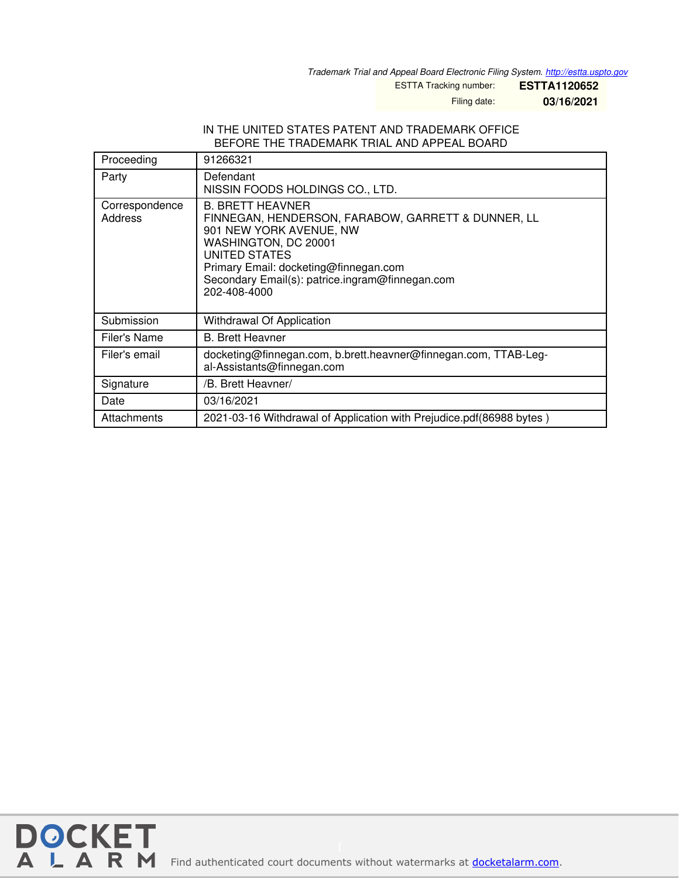*Trademark Trial and Appeal Board Electronic Filing System. <http://estta.uspto.gov>*

ESTTA Tracking number: **ESTTA1120652**

Filing date: **03/16/2021**

## IN THE UNITED STATES PATENT AND TRADEMARK OFFICE BEFORE THE TRADEMARK TRIAL AND APPEAL BOARD

| Proceeding                | 91266321                                                                                                                                                                                                                                                      |
|---------------------------|---------------------------------------------------------------------------------------------------------------------------------------------------------------------------------------------------------------------------------------------------------------|
| Party                     | Defendant<br>NISSIN FOODS HOLDINGS CO., LTD.                                                                                                                                                                                                                  |
| Correspondence<br>Address | <b>B. BRETT HEAVNER</b><br>FINNEGAN, HENDERSON, FARABOW, GARRETT & DUNNER, LL<br>901 NEW YORK AVENUE, NW<br>WASHINGTON, DC 20001<br>UNITED STATES<br>Primary Email: docketing@finnegan.com<br>Secondary Email(s): patrice.ingram@finnegan.com<br>202-408-4000 |
| Submission                | Withdrawal Of Application                                                                                                                                                                                                                                     |
| Filer's Name              | <b>B.</b> Brett Heavner                                                                                                                                                                                                                                       |
| Filer's email             | docketing@finnegan.com, b.brett.heavner@finnegan.com, TTAB-Leg-<br>al-Assistants@finnegan.com                                                                                                                                                                 |
| Signature                 | /B. Brett Heavner/                                                                                                                                                                                                                                            |
| Date                      | 03/16/2021                                                                                                                                                                                                                                                    |
| Attachments               | 2021-03-16 Withdrawal of Application with Prejudice.pdf(86988 bytes)                                                                                                                                                                                          |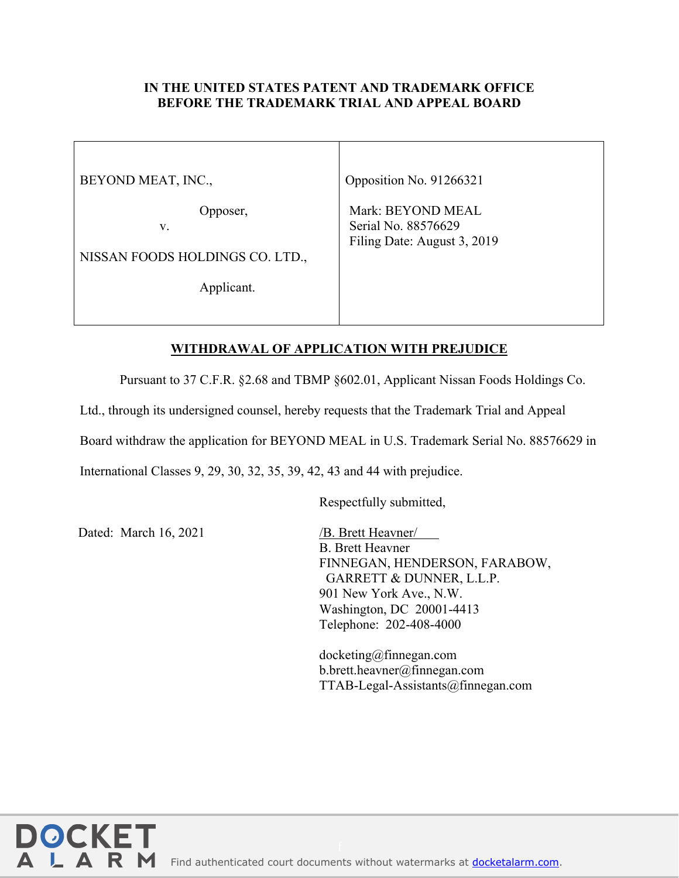## **IN THE UNITED STATES PATENT AND TRADEMARK OFFICE BEFORE THE TRADEMARK TRIAL AND APPEAL BOARD**

BEYOND MEAT, INC.,

Opposer,

v.

NISSAN FOODS HOLDINGS CO. LTD.,

Applicant.

Opposition No. 91266321

Mark: BEYOND MEAL Serial No. 88576629 Filing Date: August 3, 2019

## **WITHDRAWAL OF APPLICATION WITH PREJUDICE**

Pursuant to 37 C.F.R. §2.68 and TBMP §602.01, Applicant Nissan Foods Holdings Co.

Ltd., through its undersigned counsel, hereby requests that the Trademark Trial and Appeal

Board withdraw the application for BEYOND MEAL in U.S. Trademark Serial No. 88576629 in

International Classes 9, 29, 30, 32, 35, 39, 42, 43 and 44 with prejudice.

Respectfully submitted,

Dated: March 16, 2021 /B. Brett Heavner/

**DOCKE** 

R M

B. Brett Heavner FINNEGAN, HENDERSON, FARABOW, GARRETT & DUNNER, L.L.P. 901 New York Ave., N.W. Washington, DC 20001-4413 Telephone: 202-408-4000

docketing@finnegan.com b.brett.heavner@finnegan.com TTAB-Legal-Assistants@finnegan.com